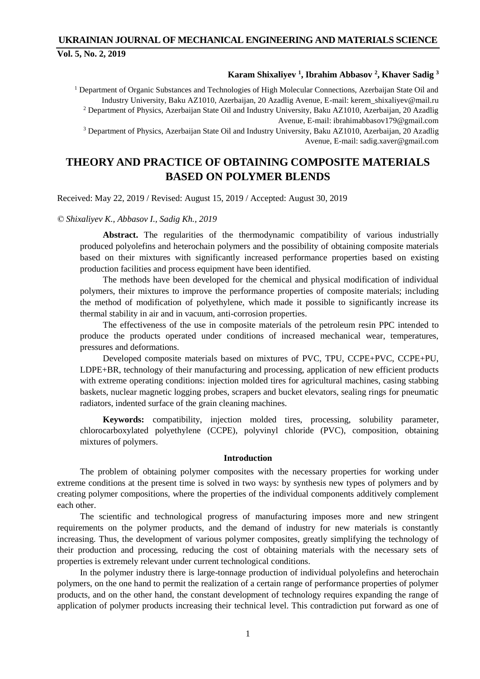# **UKRAINIAN JOURNAL OF MECHANICAL ENGINEERING AND MATERIALS SCIENCE Vol. 5, No. 2, 2019**

## **Karam Shixaliyev <sup>1</sup> , Ibrahim Abbasov <sup>2</sup> , Khaver Sadig <sup>3</sup>**

<sup>1</sup> Department of Organic Substances and Technologies of High Molecular Connections, Azerbaijan State Oil and Industry University, Baku AZ1010, Azerbaijan, 20 Azadlig Avenue, E-mail: kerem\_shixaliyev@mail.ru <sup>2</sup> Department of Physics, Azerbaijan State Oil and Industry University, Baku AZ1010, Azerbaijan, 20 Azadlig Avenue, E-mail: ibrahimabbasov179@gmail.com <sup>3</sup> Department of Physics, Azerbaijan State Oil and Industry University, Baku AZ1010, Azerbaijan, 20 Azadlig Avenue, E-mail: sadig.xaver@gmail.com

# **THEORY AND PRACTICE OF OBTAINING COMPOSITE MATERIALS BASED ON POLYMER BLENDS**

Received: May 22, 2019 / Revised: August 15, 2019 / Accepted: August 30, 2019

#### *© Shixaliyev K., Abbasov I., Sadig Kh., 2019*

**Abstract.** The regularities of the thermodynamic compatibility of various industrially produced polyolefins and heterochain polymers and the possibility of obtaining composite materials based on their mixtures with significantly increased performance properties based on existing production facilities and process equipment have been identified.

The methods have been developed for the chemical and physical modification of individual polymers, their mixtures to improve the performance properties of composite materials; including the method of modification of polyethylene, which made it possible to significantly increase its thermal stability in air and in vacuum, anti-corrosion properties.

The effectiveness of the use in composite materials of the petroleum resin PPC intended to produce the products operated under conditions of increased mechanical wear, temperatures, pressures and deformations.

Developed composite materials based on mixtures of PVC, TPU, CCPE+PVC, CCPE+PU, LDPE+BR, technology of their manufacturing and processing, application of new efficient products with extreme operating conditions: injection molded tires for agricultural machines, casing stabbing baskets, nuclear magnetic logging probes, scrapers and bucket elevators, sealing rings for pneumatic radiators, indented surface of the grain cleaning machines.

**Keywords:** compatibility, injection molded tires, processing, solubility parameter, chlorocarboxylated polyethylene (CCPE), polyvinyl chloride (PVC), composition, obtaining mixtures of polymers.

## **Introduction**

The problem of obtaining polymer composites with the necessary properties for working under extreme conditions at the present time is solved in two ways: by synthesis new types of polymers and by creating polymer compositions, where the properties of the individual components additively complement each other.

The scientific and technological progress of manufacturing imposes more and new stringent requirements on the polymer products, and the demand of industry for new materials is constantly increasing. Thus, the development of various polymer composites, greatly simplifying the technology of their production and processing, reducing the cost of obtaining materials with the necessary sets of properties is extremely relevant under current technological conditions.

In the polymer industry there is large-tonnage production of individual polyolefins and heterochain polymers, on the one hand to permit the realization of a certain range of performance properties of polymer products, and on the other hand, the constant development of technology requires expanding the range of application of polymer products increasing their technical level. This contradiction put forward as one of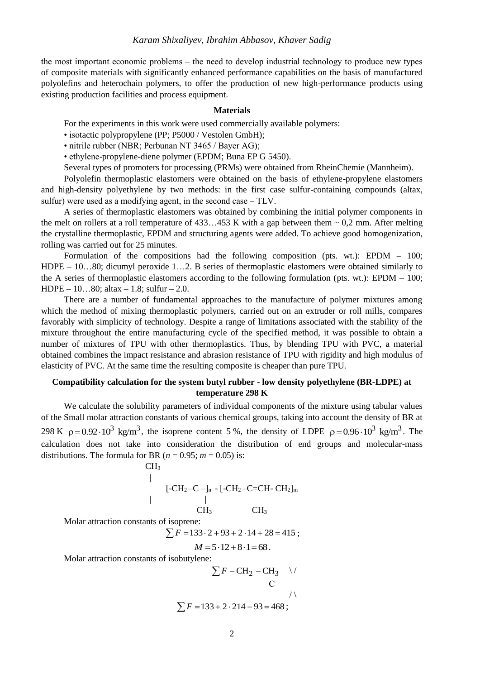the most important economic problems – the need to develop industrial technology to produce new types of composite materials with significantly enhanced performance capabilities on the basis of manufactured polyolefins and heterochain polymers, to offer the production of new high-performance products using existing production facilities and process equipment.

#### **Materials**

For the experiments in this work were used commercially available polymers:

• isotactic polypropylene (PP; P5000 / Vestolen GmbH);

• nitrile rubber (NBR; Perbunan NT 3465 / Bayer AG);

• ethylene-propylene-diene polymer (EPDM; Buna EP G 5450).

Several types of promoters for processing (PRMs) were obtained from RheinChemie (Mannheim).

Polyolefin thermoplastic elastomers were obtained on the basis of ethylene-propylene elastomers and high-density polyethylene by two methods: in the first case sulfur-containing compounds (altax, sulfur) were used as a modifying agent, in the second case  $-TLV$ .

A series of thermoplastic elastomers was obtained by combining the initial polymer components in the melt on rollers at a roll temperature of  $433...453$  K with a gap between them  $\sim 0.2$  mm. After melting the crystalline thermoplastic, EPDM and structuring agents were added. To achieve good homogenization, rolling was carried out for 25 minutes.

Formulation of the compositions had the following composition (pts. wt.): EPDM – 100; HDPE – 10…80; dicumyl peroxide 1…2. B series of thermoplastic elastomers were obtained similarly to the A series of thermoplastic elastomers according to the following formulation (pts. wt.): EPDM – 100;  $HDPE - 10...80$ ; altax  $-1.8$ ; sulfur  $-2.0$ .

There are a number of fundamental approaches to the manufacture of polymer mixtures among which the method of mixing thermoplastic polymers, carried out on an extruder or roll mills, compares favorably with simplicity of technology. Despite a range of limitations associated with the stability of the mixture throughout the entire manufacturing cycle of the specified method, it was possible to obtain a number of mixtures of TPU with other thermoplastics. Thus, by blending TPU with PVC, a material obtained combines the impact resistance and abrasion resistance of TPU with rigidity and high modulus of elasticity of PVC. At the same time the resulting composite is cheaper than pure TPU.

## **Compatibility calculation for the system butyl rubber - low density polyethylene (BR-LDPE) at temperature 298 K**

We calculate the solubility parameters of individual components of the mixture using tabular values of the Small molar attraction constants of various chemical groups, taking into account the density of BR at 298 K  $\rho = 0.92 \cdot 10^3$  kg/m<sup>3</sup>, the isoprene content 5%, the density of LDPE  $\rho = 0.96 \cdot 10^3$  kg/m<sup>3</sup>. The calculation does not take into consideration the distribution of end groups and molecular-mass distributions. The formula for BR ( $n = 0.95$ ;  $m = 0.05$ ) is:

$$
[-CH2-C-]n - [-CH2-C=CH-CH2]m
$$
  
CH<sub>3</sub> CH<sub>3</sub>

Molar attraction constants of isoprene:

|

 $CH<sub>3</sub>$ 

Solution:<br> $\sum F = 133 \cdot 2 + 93 + 2 \cdot 14 + 28 = 415$ ;

$$
M = 5 \cdot 12 + 8 \cdot 1 = 68.
$$

Molar attraction constants of isobutylene:

$$
\sum F - CH_2 - CH_3 \quad \lor
$$
  
C\n
$$
\sum F = 133 + 2 \cdot 214 - 93 = 468 ;
$$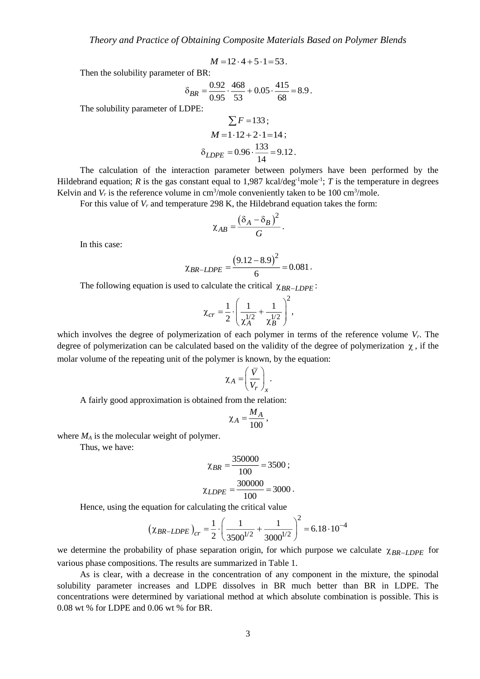$$
M = 12 \cdot 4 + 5 \cdot 1 = 53.
$$

Then the solubility parameter of BR:

$$
\delta_{BR} = \frac{0.92}{0.95} \cdot \frac{468}{53} + 0.05 \cdot \frac{415}{68} = 8.9 \, .
$$

The solubility parameter of LDPE:

$$
\sum F = 133 ;
$$
  
\n
$$
M = 1.12 + 2.1 = 14 ;
$$
  
\n
$$
\delta_{LDPE} = 0.96 \cdot \frac{133}{14} = 9.12.
$$

The calculation of the interaction parameter between polymers have been performed by the Hildebrand equation; *R* is the gas constant equal to  $1,987$  kcal/deg<sup>-1</sup>mole<sup>-1</sup>; *T* is the temperature in degrees Kelvin and  $V_r$  is the reference volume in cm<sup>3</sup>/mole conveniently taken to be 100 cm<sup>3</sup>/mole.

For this value of *V<sup>r</sup>* and temperature 298 K, the Hildebrand equation takes the form:

$$
\chi_{AB}=\frac{(\delta_A-\delta_B)^2}{G}.
$$

In this case:

$$
\chi_{BR-LDPE} = \frac{(9.12 - 8.9)^2}{6} = 0.081.
$$

The following equation is used to calculate the critical  $\chi_{BR-LDPE}$ :

$$
\chi_{cr} = \frac{1}{2} \cdot \left( \frac{1}{\chi_A^{1/2}} + \frac{1}{\chi_B^{1/2}} \right)^2,
$$

which involves the degree of polymerization of each polymer in terms of the reference volume *Vr*. The degree of polymerization can be calculated based on the validity of the degree of polymerization  $\chi$ , if the molar volume of the repeating unit of the polymer is known, by the equation:

$$
\chi_A = \left(\frac{\overline{V}}{V_r}\right)_x.
$$

A fairly good approximation is obtained from the relation:

$$
\chi_A = \frac{M_A}{100},
$$

where *M<sup>A</sup>* is the molecular weight of polymer.

Thus, we have:

$$
\chi_{BR} = \frac{350000}{100} = 3500 ;
$$

$$
\chi_{LDPE} = \frac{300000}{100} = 3000.
$$

Hence, using the equation for calculating the critical value  
\n
$$
\left(\chi_{BR-LDPE}\right)_{cr} = \frac{1}{2} \cdot \left(\frac{1}{3500^{1/2}} + \frac{1}{3000^{1/2}}\right)^2 = 6.18 \cdot 10^{-4}
$$

we determine the probability of phase separation origin, for which purpose we calculate  $\chi_{BR-LDPE}$  for various phase compositions. The results are summarized in Table 1.

As is clear, with a decrease in the concentration of any component in the mixture, the spinodal solubility parameter increases and LDPE dissolves in BR much better than BR in LDPE. The concentrations were determined by variational method at which absolute combination is possible. This is 0.08 wt % for LDPE and 0.06 wt % for BR.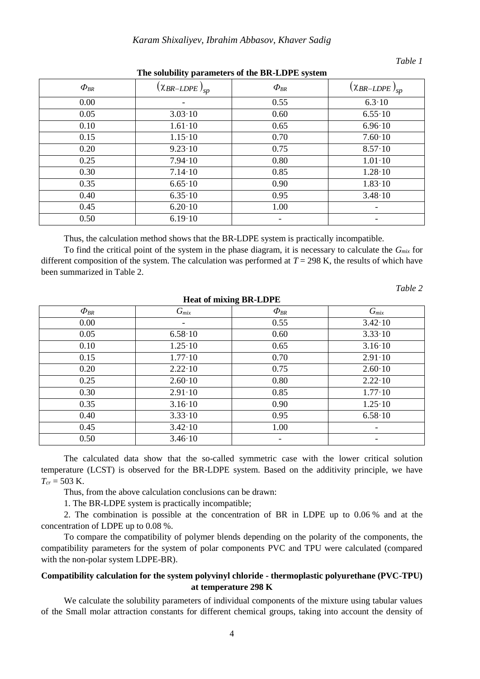## *Table 1*

| $\Phi_{\scriptscriptstyle BR}$ | $(\chi_{BR-LDPE})_{sp}$ | $\Phi_{BR}$ | $(\chi_{BR-LDPE})_{sp}$  |
|--------------------------------|-------------------------|-------------|--------------------------|
| 0.00                           |                         | 0.55        | $6.3 \cdot 10$           |
| 0.05                           | $3.03 \cdot 10$         | 0.60        | $6.55 \cdot 10$          |
| 0.10                           | $1.61 \cdot 10$         | 0.65        | $6.96 \cdot 10$          |
| 0.15                           | $1.15 \cdot 10$         | 0.70        | $7.60 \cdot 10$          |
| 0.20                           | $9.23 \cdot 10$         | 0.75        | $8.57 \cdot 10$          |
| 0.25                           | $7.94 \cdot 10$         | 0.80        | $1.01 \cdot 10$          |
| 0.30                           | $7.14 \cdot 10$         | 0.85        | $1.28 \cdot 10$          |
| 0.35                           | $6.65 \cdot 10$         | 0.90        | $1.83 \cdot 10$          |
| 0.40                           | $6.35 \cdot 10$         | 0.95        | $3.48 \cdot 10$          |
| 0.45                           | $6.20 \cdot 10$         | 1.00        | $\overline{\phantom{0}}$ |
| 0.50                           | $6.19 \cdot 10$         |             | -                        |

### **The solubility parameters of the BR-LDPE system**

Thus, the calculation method shows that the BR-LDPE system is practically incompatible.

To find the critical point of the system in the phase diagram, it is necessary to calculate the *Gmix* for different composition of the system. The calculation was performed at  $T = 298$  K, the results of which have been summarized in Table 2.

*Table 2*

| <b>Heat of mixing BR-LDPE</b>     |                 |                                   |                 |  |  |  |  |
|-----------------------------------|-----------------|-----------------------------------|-----------------|--|--|--|--|
| $\varPhi_{\scriptscriptstyle BR}$ | $G_{mix}$       | $\varPhi_{\scriptscriptstyle BR}$ | $G_{mix}$       |  |  |  |  |
| 0.00                              |                 | 0.55                              | $3.42 \cdot 10$ |  |  |  |  |
| 0.05                              | $6.58 \cdot 10$ | 0.60                              | $3.33 \cdot 10$ |  |  |  |  |
| 0.10                              | $1.25 \cdot 10$ | 0.65                              | $3.16 \cdot 10$ |  |  |  |  |
| 0.15                              | $1.77 \cdot 10$ | 0.70                              | $2.91 \cdot 10$ |  |  |  |  |
| 0.20                              | $2.22 \cdot 10$ | 0.75                              | $2.60 \cdot 10$ |  |  |  |  |
| 0.25                              | $2.60 \cdot 10$ | 0.80                              | $2.22 \cdot 10$ |  |  |  |  |
| 0.30                              | $2.91 \cdot 10$ | 0.85                              | $1.77 \cdot 10$ |  |  |  |  |
| 0.35                              | $3.16 \cdot 10$ | 0.90                              | $1.25 \cdot 10$ |  |  |  |  |
| 0.40                              | $3.33 \cdot 10$ | 0.95                              | $6.58 \cdot 10$ |  |  |  |  |
| 0.45                              | $3.42 \cdot 10$ | 1.00                              | -               |  |  |  |  |
| 0.50                              | $3.46 \cdot 10$ |                                   |                 |  |  |  |  |

The calculated data show that the so-called symmetric case with the lower critical solution temperature (LCST) is observed for the BR-LDPE system. Based on the additivity principle, we have *Tcr* = 503 K.

Thus, from the above calculation conclusions can be drawn:

1. The BR-LDPE system is practically incompatible;

2. The combination is possible at the concentration of BR in LDPE up to 0.06 % and at the concentration of LDPE up to 0.08 %.

To compare the compatibility of polymer blends depending on the polarity of the components, the compatibility parameters for the system of polar components PVC and TPU were calculated (compared with the non-polar system LDPE-BR).

## **Compatibility calculation for the system polyvinyl chloride - thermoplastic polyurethane (PVC-TPU) at temperature 298 K**

We calculate the solubility parameters of individual components of the mixture using tabular values of the Small molar attraction constants for different chemical groups, taking into account the density of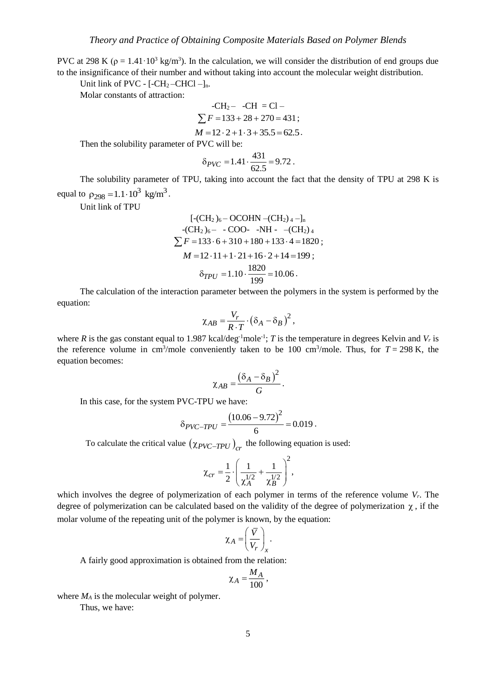PVC at 298 K ( $\rho = 1.41 \cdot 10^3$  kg/m<sup>3</sup>). In the calculation, we will consider the distribution of end groups due to the insignificance of their number and without taking into account the molecular weight distribution.

Unit link of PVC -  $[-CH_2-CHCl -]_n$ .

Molar constants of attraction:

-CH<sub>2</sub> - CH = Cl  
\n
$$
\sum F = 133 + 28 + 270 = 431
$$
;  
\n $M = 12 \cdot 2 + 1 \cdot 3 + 35.5 = 62.5$ .

Then the solubility parameter of PVC will be:

$$
\delta_{PVC} = 1.41 \cdot \frac{431}{62.5} = 9.72 \; .
$$

The solubility parameter of TPU, taking into account the fact that the density of TPU at 298 K is equal to  $\rho_{298} = 1.1 \cdot 10^3 \text{ kg/m}^3$ .

Unit link of TPU

$$
[-\text{CH}_2)_6 - \text{OCOHN} - (\text{CH}_2)_4 - ]_n
$$
  
-
$$
-(\text{CH}_2)_6 - - \text{COO} - \text{NH} - -(\text{CH}_2)_4
$$
  

$$
\sum F = 133 \cdot 6 + 310 + 180 + 133 \cdot 4 = 1820 ;
$$
  

$$
M = 12 \cdot 11 + 1 \cdot 21 + 16 \cdot 2 + 14 = 199 ;
$$
  

$$
\delta_{TPU} = 1.10 \cdot \frac{1820}{199} = 10.06.
$$

The calculation of the interaction parameter between the polymers in the system is performed by the equation:

$$
\chi_{AB} = \frac{V_r}{R \cdot T} \cdot (\delta_A - \delta_B)^2,
$$

where *R* is the gas constant equal to 1.987 kcal/deg<sup>-1</sup>mole<sup>-1</sup>; *T* is the temperature in degrees Kelvin and *V<sub>r</sub>* is the reference volume in cm<sup>3</sup>/mole conveniently taken to be 100 cm<sup>3</sup>/mole. Thus, for  $T = 298$  K, the equation becomes:

$$
\chi_{AB}=\frac{(\delta_A-\delta_B)^2}{G}.
$$

In this case, for the system PVC-TPU we have:

$$
\delta_{PVC-TPU} = \frac{(10.06 - 9.72)^2}{6} = 0.019.
$$

To calculate the critical value  $(\chi_{PVC-TPU})_{cr}$  the following equation is used:

$$
\chi_{cr} = \frac{1}{2} \cdot \left( \frac{1}{\chi_A^{1/2}} + \frac{1}{\chi_B^{1/2}} \right)^2,
$$

which involves the degree of polymerization of each polymer in terms of the reference volume *Vr*. The degree of polymerization can be calculated based on the validity of the degree of polymerization  $\chi$ , if the molar volume of the repeating unit of the polymer is known, by the equation:

$$
\chi_A = \left(\frac{\overline{V}}{V_r}\right)_x.
$$

A fairly good approximation is obtained from the relation:

$$
\chi_A = \frac{M_A}{100},
$$

where  $M_A$  is the molecular weight of polymer. Thus, we have: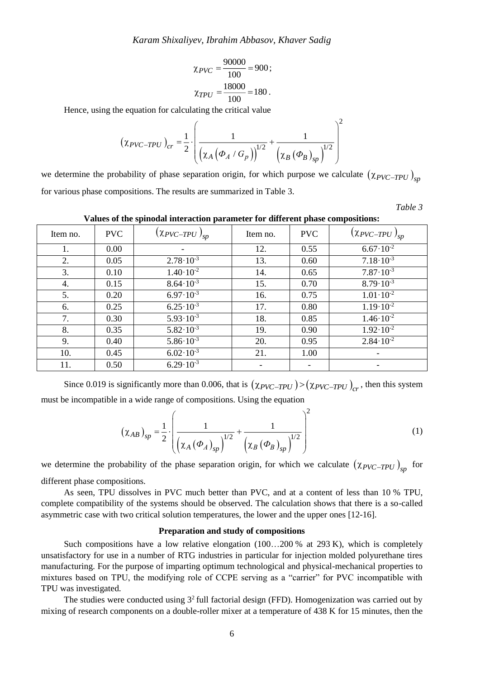$$
\chi_{PVC} = \frac{90000}{100} = 900;
$$
  

$$
\chi_{TPU} = \frac{18000}{100} = 180.
$$

Hence, using the equation for calculating the critical value

$$
\left(\chi_{PVC-TPU}\right)_{cr} = \frac{1}{2} \cdot \left(\frac{1}{\left(\chi_A \left(\Phi_A / G_p\right)\right)^{1/2}} + \frac{1}{\left(\chi_B \left(\Phi_B\right)_{sp}\right)^{1/2}}\right)
$$

we determine the probability of phase separation origin, for which purpose we calculate  $(\chi_{PVC-TPU})_{sp}$ for various phase compositions. The results are summarized in Table 3.

*Table 3*

 $\sqrt{2}$ 

**Values of the spinodal interaction parameter for different phase compositions:**

| Item no. | <b>PVC</b> | $(\chi_{PVC-TPU})_{sp}$ | Item no. | <b>PVC</b> | $(\chi_{PVC-TPU})_{sp}$ |
|----------|------------|-------------------------|----------|------------|-------------------------|
| 1.       | 0.00       |                         | 12.      | 0.55       | $6.67 \cdot 10^{-2}$    |
| 2.       | 0.05       | $2.78 \cdot 10^{-3}$    | 13.      | 0.60       | $7.18 \cdot 10^{-3}$    |
| 3.       | 0.10       | $1.40 \cdot 10^{-2}$    | 14.      | 0.65       | $7.87 \cdot 10^{-3}$    |
| 4.       | 0.15       | $8.64 \cdot 10^{-3}$    | 15.      | 0.70       | $8.79 \cdot 10^{-3}$    |
| 5.       | 0.20       | $6.97 \cdot 10^{-3}$    | 16.      | 0.75       | $1.01 \cdot 10^{-2}$    |
| 6.       | 0.25       | $6.25 \cdot 10^{-3}$    | 17.      | 0.80       | $1.19 \cdot 10^{-2}$    |
| 7.       | 0.30       | $5.93 \cdot 10^{-3}$    | 18.      | 0.85       | $1.46 \cdot 10^{-2}$    |
| 8.       | 0.35       | $5.82 \cdot 10^{-3}$    | 19.      | 0.90       | $1.92 \cdot 10^{-2}$    |
| 9.       | 0.40       | $5.86 \cdot 10^{-3}$    | 20.      | 0.95       | $2.84 \cdot 10^{-2}$    |
| 10.      | 0.45       | $6.02 \cdot 10^{-3}$    | 21.      | 1.00       |                         |
| 11.      | 0.50       | $6.29 \cdot 10^{-3}$    |          |            |                         |

Since 0.019 is significantly more than 0.006, that is  $(\chi_{PVC-TPU}) > (\chi_{PVC-TPU})_{cr}$ , then this system must be incompatible in a wide range of compositions. Using the equation

$$
\left(\chi_{AB}\right)_{sp} = \frac{1}{2} \cdot \left(\frac{1}{\left(\chi_A \left(\Phi_A\right)_{sp}\right)^{1/2}} + \frac{1}{\left(\chi_B \left(\Phi_B\right)_{sp}\right)^{1/2}}\right)^2
$$
 (1)

 $\sqrt{2}$ 

we determine the probability of the phase separation origin, for which we calculate  $(\chi_{PVC-TPU})_{sp}$  for different phase compositions.

As seen, TPU dissolves in PVC much better than PVC, and at a content of less than 10 % TPU, complete compatibility of the systems should be observed. The calculation shows that there is a so-called asymmetric case with two critical solution temperatures, the lower and the upper ones [12-16].

#### **Preparation and study of compositions**

Such compositions have a low relative elongation (100...200 % at 293 K), which is completely unsatisfactory for use in a number of RTG industries in particular for injection molded polyurethane tires manufacturing. For the purpose of imparting optimum technological and physical-mechanical properties to mixtures based on TPU, the modifying role of CCPE serving as a "carrier" for PVC incompatible with TPU was investigated.

The studies were conducted using  $3<sup>2</sup>$  full factorial design (FFD). Homogenization was carried out by mixing of research components on a double-roller mixer at a temperature of 438 K for 15 minutes, then the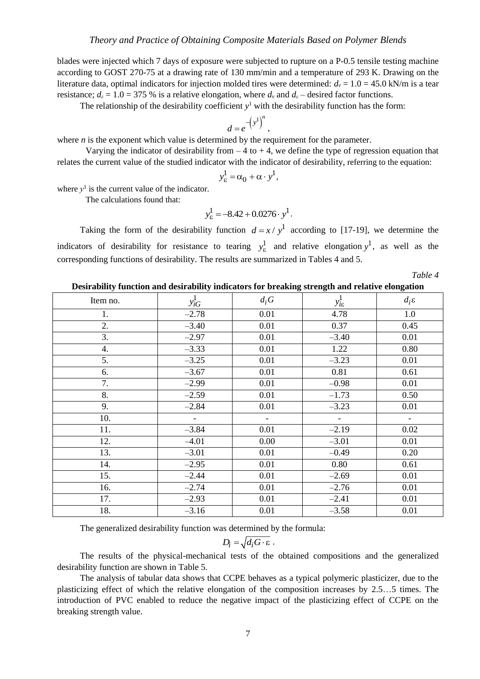blades were injected which 7 days of exposure were subjected to rupture on a P-0.5 tensile testing machine according to GOST 270-75 at a drawing rate of 130 mm/min and a temperature of 293 K. Drawing on the literature data, optimal indicators for injection molded tires were determined:  $d<sub>v</sub> = 1.0 = 45.0$  kN/m is a tear resistance;  $d_{\varepsilon} = 1.0 = 375$  % is a relative elongation, where  $d_{\varepsilon}$  and  $d_{\varepsilon}$  – desired factor functions.

The relationship of the desirability coefficient  $y<sup>1</sup>$  with the desirability function has the form:

$$
d=e^{-\left(y^1\right)^n},
$$

where *n* is the exponent which value is determined by the requirement for the parameter.

Varying the indicator of desirability from  $-4$  to  $+4$ , we define the type of regression equation that relates the current value of the studied indicator with the indicator of desirability, referring to the equation:

$$
y_{\varepsilon}^1 = \alpha_0 + \alpha \cdot y^1,
$$

where  $y<sup>1</sup>$  is the current value of the indicator.

The calculations found that:

$$
y_{\varepsilon}^1 = -8.42 + 0.0276 \cdot y^1.
$$

Taking the form of the desirability function  $d = x / y<sup>1</sup>$  according to [17-19], we determine the indicators of desirability for resistance to tearing  $y_{\varepsilon}^1$  and relative elongation  $y^1$ , as well as the corresponding functions of desirability. The results are summarized in Tables 4 and 5.

*Table 4* 

**Desirability function and desirability indicators for breaking strength and relative elongation**

| Item no. | $y_{iG}^1$    | $d_i$ G                  | $y_{i\epsilon}^1$        | $d_i$ ε                  |
|----------|---------------|--------------------------|--------------------------|--------------------------|
| 1.       | $-2.78$       | 0.01                     | 4.78                     | 1.0                      |
| 2.       | $-3.40$       | 0.01                     | 0.37                     | 0.45                     |
| 3.       | $-2.97$       | 0.01                     | $-3.40$                  | 0.01                     |
| 4.       | $-3.33$       | 0.01                     | 1.22                     | 0.80                     |
| 5.       | $-3.25$       | 0.01                     | $-3.23$                  | 0.01                     |
| 6.       | $-3.67$       | 0.01                     | 0.81                     | 0.61                     |
| 7.       | $-2.99$       | 0.01                     | $-0.98$                  | 0.01                     |
| 8.       | $-2.59$       | 0.01                     | $-1.73$                  | 0.50                     |
| 9.       | $-2.84$       | 0.01                     | $-3.23$                  | 0.01                     |
| 10.      | $\frac{1}{2}$ | $\overline{\phantom{a}}$ | $\overline{\phantom{a}}$ | $\overline{\phantom{a}}$ |
| 11.      | $-3.84$       | 0.01                     | $-2.19$                  | 0.02                     |
| 12.      | $-4.01$       | 0.00                     | $-3.01$                  | 0.01                     |
| 13.      | $-3.01$       | 0.01                     | $-0.49$                  | 0.20                     |
| 14.      | $-2.95$       | 0.01                     | 0.80                     | 0.61                     |
| 15.      | $-2.44$       | 0.01                     | $-2.69$                  | 0.01                     |
| 16.      | $-2.74$       | 0.01                     | $-2.76$                  | 0.01                     |
| 17.      | $-2.93$       | 0.01                     | $-2.41$                  | 0.01                     |
| 18.      | $-3.16$       | 0.01                     | $-3.58$                  | 0.01                     |

The generalized desirability function was determined by the formula:

$$
D_i = \sqrt{d_i G \cdot \varepsilon}.
$$

The results of the physical-mechanical tests of the obtained compositions and the generalized desirability function are shown in Table 5.

The analysis of tabular data shows that CCPE behaves as a typical polymeric plasticizer, due to the plasticizing effect of which the relative elongation of the composition increases by 2.5…5 times. The introduction of PVC enabled to reduce the negative impact of the plasticizing effect of CCPE on the breaking strength value.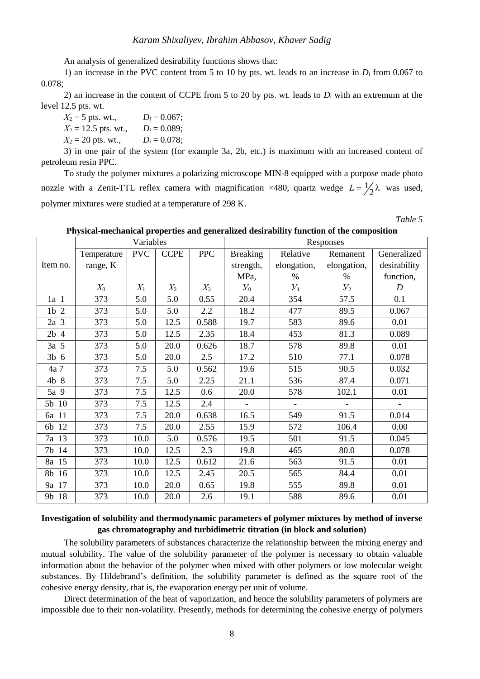An analysis of generalized desirability functions shows that:

1) an increase in the PVC content from 5 to 10 by pts. wt. leads to an increase in *D<sup>i</sup>* from 0.067 to 0.078;

2) an increase in the content of CCPE from 5 to 20 by pts. wt. leads to *D<sup>i</sup>* with an extremum at the level 12.5 pts. wt.

 $X_2 = 5$  pts. wt.,  $D_i = 0.067$ ;  $X_2 = 12.5$  pts. wt.,  $D_i = 0.089$ ;  $X_2 = 20$  pts. wt.,  $D_i = 0.078$ ;

3) in one pair of the system (for example 3a, 2b, etc.) is maximum with an increased content of petroleum resin PPC.

To study the polymer mixtures a polarizing microscope MIN-8 equipped with a purpose made photo nozzle with a Zenit-TTL reflex camera with magnification  $\times$ 480, quartz wedge  $L = \frac{1}{2}$  $L = \frac{1}{2}\lambda$  was used, polymer mixtures were studied at a temperature of 298 K.

*Table 5*

**Physical-mechanical properties and generalized desirability function of the composition**

|                 |             | Variables  |             |            | a hysieur meenumeur proper nes una generumsen aesirusmiy runeeron or ene composition<br>Responses |                          |                |                |
|-----------------|-------------|------------|-------------|------------|---------------------------------------------------------------------------------------------------|--------------------------|----------------|----------------|
|                 | Temperature | <b>PVC</b> | <b>CCPE</b> | <b>PPC</b> | <b>Breaking</b>                                                                                   | Relative                 | Remanent       | Generalized    |
| Item no.        | range, K    |            |             |            | strength,                                                                                         | elongation,              | elongation,    | desirability   |
|                 |             |            |             |            | MPa,                                                                                              | $\%$                     | $\%$           | function,      |
|                 | $X_0$       | $X_1$      | $X_2$       | $X_3$      | $Y_0$                                                                                             | $Y_1$                    | $V_2$          | D              |
| 1a <sub>1</sub> | 373         | 5.0        | 5.0         | 0.55       | 20.4                                                                                              | 354                      | 57.5           | 0.1            |
| $1b$ 2          | 373         | 5.0        | 5.0         | 2.2        | 18.2                                                                                              | 477                      | 89.5           | 0.067          |
| 2a <sub>3</sub> | 373         | 5.0        | 12.5        | 0.588      | 19.7                                                                                              | 583                      | 89.6           | 0.01           |
| $2b$ 4          | 373         | 5.0        | 12.5        | 2.35       | 18.4                                                                                              | 453                      | 81.3           | 0.089          |
| $3a \quad 5$    | 373         | 5.0        | 20.0        | 0.626      | 18.7                                                                                              | 578                      | 89.8           | 0.01           |
| $3b\,6$         | 373         | 5.0        | 20.0        | 2.5        | 17.2                                                                                              | 510                      | 77.1           | 0.078          |
| 4a 7            | 373         | 7.5        | 5.0         | 0.562      | 19.6                                                                                              | 515                      | 90.5           | 0.032          |
| 4b 8            | 373         | 7.5        | 5.0         | 2.25       | 21.1                                                                                              | 536                      | 87.4           | 0.071          |
| 5a 9            | 373         | 7.5        | 12.5        | 0.6        | 20.0                                                                                              | 578                      | 102.1          | 0.01           |
| 5b 10           | 373         | 7.5        | 12.5        | 2.4        | $\equiv$                                                                                          | $\overline{\phantom{0}}$ | $\blacksquare$ | $\blacksquare$ |
| 6a 11           | 373         | 7.5        | 20.0        | 0.638      | 16.5                                                                                              | 549                      | 91.5           | 0.014          |
| 6b 12           | 373         | 7.5        | 20.0        | 2.55       | 15.9                                                                                              | 572                      | 106.4          | 0.00           |
| 7a 13           | 373         | 10.0       | 5.0         | 0.576      | 19.5                                                                                              | 501                      | 91.5           | 0.045          |
| 7b 14           | 373         | 10.0       | 12.5        | 2.3        | 19.8                                                                                              | 465                      | 80.0           | 0.078          |
| 8a 15           | 373         | 10.0       | 12.5        | 0.612      | 21.6                                                                                              | 563                      | 91.5           | 0.01           |
| 8b 16           | 373         | 10.0       | 12.5        | 2.45       | 20.5                                                                                              | 565                      | 84.4           | 0.01           |
| 9a 17           | 373         | 10.0       | 20.0        | 0.65       | 19.8                                                                                              | 555                      | 89.8           | 0.01           |
| 9b 18           | 373         | 10.0       | 20.0        | 2.6        | 19.1                                                                                              | 588                      | 89.6           | 0.01           |

## **Investigation of solubility and thermodynamic parameters of polymer mixtures by method of inverse gas chromatography and turbidimetric titration (in block and solution)**

The solubility parameters of substances characterize the relationship between the mixing energy and mutual solubility. The value of the solubility parameter of the polymer is necessary to obtain valuable information about the behavior of the polymer when mixed with other polymers or low molecular weight substances. By Hildebrand's definition, the solubility parameter is defined as the square root of the cohesive energy density, that is, the evaporation energy per unit of volume.

Direct determination of the heat of vaporization, and hence the solubility parameters of polymers are impossible due to their non-volatility. Presently, methods for determining the cohesive energy of polymers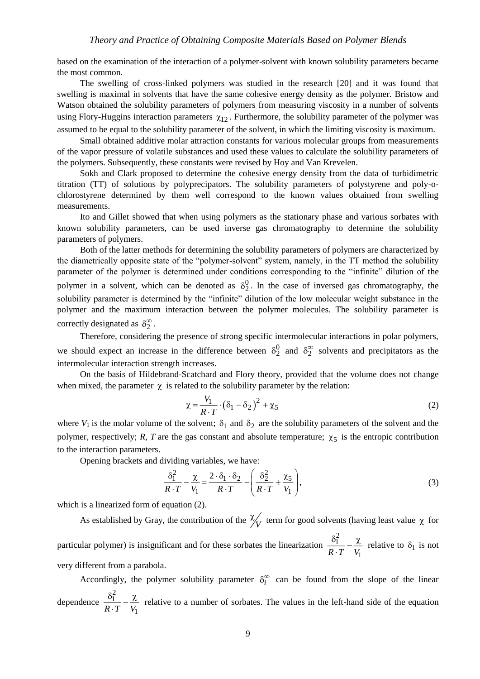based on the examination of the interaction of a polymer-solvent with known solubility parameters became the most common.

The swelling of cross-linked polymers was studied in the research [20] and it was found that swelling is maximal in solvents that have the same cohesive energy density as the polymer. Bristow and Watson obtained the solubility parameters of polymers from measuring viscosity in a number of solvents using Flory-Huggins interaction parameters  $\chi_{12}$ . Furthermore, the solubility parameter of the polymer was assumed to be equal to the solubility parameter of the solvent, in which the limiting viscosity is maximum.

Small obtained additive molar attraction constants for various molecular groups from measurements of the vapor pressure of volatile substances and used these values to calculate the solubility parameters of the polymers. Subsequently, these constants were revised by Hoy and Van Krevelen.

Sokh and Clark proposed to determine the cohesive energy density from the data of turbidimetric titration (TT) of solutions by polyprecipators. The solubility parameters of polystyrene and poly-ochlorostyrene determined by them well correspond to the known values obtained from swelling measurements.

Ito and Gillet showed that when using polymers as the stationary phase and various sorbates with known solubility parameters, can be used inverse gas chromatography to determine the solubility parameters of polymers.

Both of the latter methods for determining the solubility parameters of polymers are characterized by the diametrically opposite state of the "polymer-solvent" system, namely, in the TT method the solubility parameter of the polymer is determined under conditions corresponding to the "infinite" dilution of the polymer in a solvent, which can be denoted as  $\delta_2^0$ . In the case of inversed gas chromatography, the solubility parameter is determined by the "infinite" dilution of the low molecular weight substance in the polymer and the maximum interaction between the polymer molecules. The solubility parameter is correctly designated as  $\delta_2^{\infty}$ .

Therefore, considering the presence of strong specific intermolecular interactions in polar polymers, we should expect an increase in the difference between  $\delta_2^0$  and  $\delta_2^{\infty}$  solvents and precipitators as the intermolecular interaction strength increases.

On the basis of Hildebrand-Scatchard and Flory theory, provided that the volume does not change when mixed, the parameter  $\chi$  is related to the solubility parameter by the relation:

$$
\chi = \frac{V_1}{R \cdot T} \cdot (\delta_1 - \delta_2)^2 + \chi_5 \tag{2}
$$

where  $V_1$  is the molar volume of the solvent;  $\delta_1$  and  $\delta_2$  are the solubility parameters of the solvent and the polymer, respectively;  $R$ ,  $T$  are the gas constant and absolute temperature;  $\chi_5$  is the entropic contribution to the interaction parameters.

Opening brackets and dividing variables, we have:

$$
\frac{\delta_1^2}{R \cdot T} - \frac{\chi}{V_1} = \frac{2 \cdot \delta_1 \cdot \delta_2}{R \cdot T} - \left(\frac{\delta_2^2}{R \cdot T} + \frac{\chi_5}{V_1}\right),\tag{3}
$$

which is a linearized form of equation (2).

As established by Gray, the contribution of the  $\frac{N}{V}$  $\frac{\gamma}{\gamma}$  term for good solvents (having least value  $\gamma$  for particular polymer) is insignificant and for these sorbates the linearization 2 1  $R \cdot T$  *V*<sub>1</sub>  $\frac{\delta_1^2}{\delta_1 \cdot T} - \frac{\chi}{V_1}$  relative to  $\delta_1$  is not very different from a parabola.

Accordingly, the polymer solubility parameter  $\delta_i^{\infty}$  can be found from the slope of the linear dependence 2 1  $R \cdot T$   $V_1$  $\frac{\delta_1^2}{\delta_1 \cdot T} - \frac{\chi}{V}$  relative to a number of sorbates. The values in the left-hand side of the equation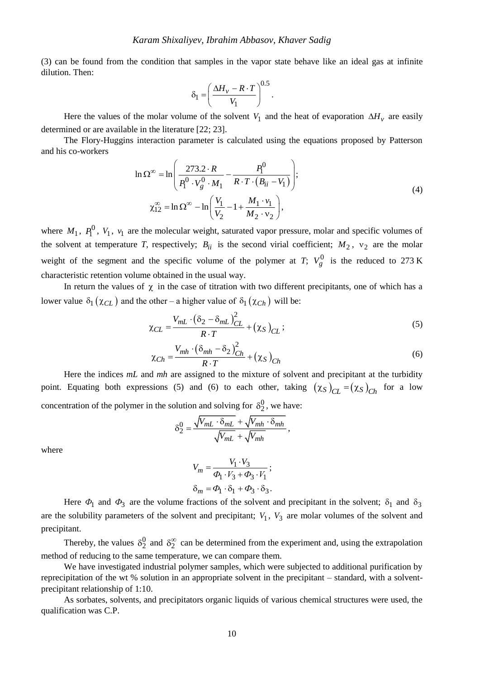(3) can be found from the condition that samples in the vapor state behave like an ideal gas at infinite dilution. Then:

$$
\delta_1 = \left(\frac{\Delta H_v - R \cdot T}{V_1}\right)^{0.5}.
$$

Here the values of the molar volume of the solvent  $V_1$  and the heat of evaporation  $\Delta H_v$  are easily determined or are available in the literature [22; 23].

The Flory-Huggins interaction parameter is calculated using the equations proposed by Patterson and his co-workers

$$
\ln \Omega^{\infty} = \ln \left( \frac{273.2 \cdot R}{P_1^0 \cdot V_g^0 \cdot M_1} - \frac{P_1^0}{R \cdot T \cdot (B_{ii} - V_1)} \right);
$$
  

$$
\chi_{12}^{\infty} = \ln \Omega^{\infty} - \ln \left( \frac{V_1}{V_2} - 1 + \frac{M_1 \cdot v_1}{M_2 \cdot v_2} \right),
$$
 (4)

where  $M_1$ ,  $P_1^0$ ,  $V_1$ ,  $v_1$  are the molecular weight, saturated vapor pressure, molar and specific volumes of the solvent at temperature *T*, respectively;  $B_{ii}$  is the second virial coefficient;  $M_2$ ,  $v_2$  are the molar weight of the segment and the specific volume of the polymer at *T*;  $V_g^0$  is the reduced to 273 K characteristic retention volume obtained in the usual way.

In return the values of  $\chi$  in the case of titration with two different precipitants, one of which has a lower value  $\delta_1(\chi_{CL})$  and the other – a higher value of  $\delta_1(\chi_{Ch})$  will be:

$$
\chi_{CL} = \frac{V_{mL} \cdot (\delta_2 - \delta_{mL})_{CL}^2}{R \cdot T} + (\chi_S)_{CL};
$$
\n(5)

$$
\chi_{Ch} = \frac{V_{mh} \cdot (\delta_{mh} - \delta_2)_{Ch}^2}{R \cdot T} + (\chi_S)_{Ch}
$$
(6)

Here the indices *mL* and *mh* are assigned to the mixture of solvent and precipitant at the turbidity point. Equating both expressions (5) and (6) to each other, taking  $(\chi_S)_{CL} = (\chi_S)_{Ch}$  for a low concentration of the polymer in the solution and solving for  $\delta_2^0$ , we have:

$$
\delta_2^0 = \frac{\sqrt{V_{mL} \cdot \delta_{mL}} + \sqrt{V_{mh} \cdot \delta_{mh}}}{\sqrt{V_{mL}} + \sqrt{V_{mh}}},
$$

where

$$
V_m = \frac{V_1 \cdot V_3}{\Phi_1 \cdot V_3 + \Phi_3 \cdot V_1};
$$
  

$$
\delta_m = \Phi_1 \cdot \delta_1 + \Phi_3 \cdot \delta_3.
$$

Here  $\Phi_1$  and  $\Phi_3$  are the volume fractions of the solvent and precipitant in the solvent;  $\delta_1$  and  $\delta_3$ are the solubility parameters of the solvent and precipitant;  $V_1$ ,  $V_3$  are molar volumes of the solvent and precipitant.

Thereby, the values  $\delta_2^0$  and  $\delta_2^{\infty}$  can be determined from the experiment and, using the extrapolation method of reducing to the same temperature, we can compare them.

We have investigated industrial polymer samples, which were subjected to additional purification by reprecipitation of the wt % solution in an appropriate solvent in the precipitant – standard, with a solventprecipitant relationship of 1:10.

As sorbates, solvents, and precipitators organic liquids of various chemical structures were used, the qualification was C.P.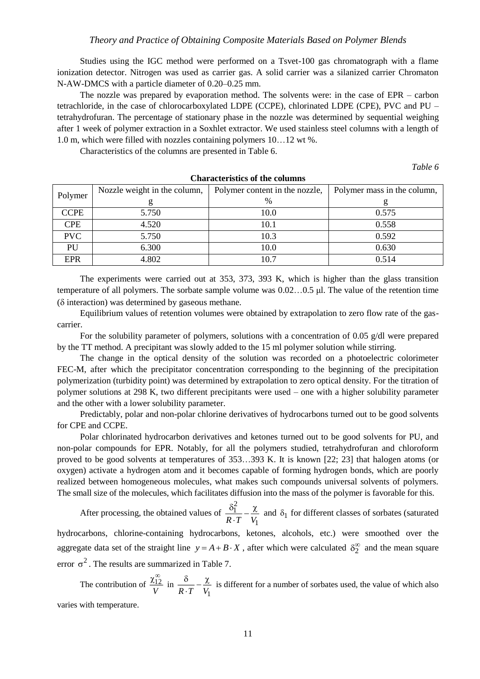Studies using the IGC method were performed on a Tsvet-100 gas chromatograph with a flame ionization detector. Nitrogen was used as carrier gas. A solid carrier was a silanized carrier Chromaton N-AW-DMCS with a particle diameter of 0.20–0.25 mm.

The nozzle was prepared by evaporation method. The solvents were: in the case of EPR – carbon tetrachloride, in the case of chlorocarboxylated LDPE (CCPE), chlorinated LDPE (CPE), PVC and PU – tetrahydrofuran. The percentage of stationary phase in the nozzle was determined by sequential weighing after 1 week of polymer extraction in a Soxhlet extractor. We used stainless steel columns with a length of 1.0 m, which were filled with nozzles containing polymers 10…12 wt %.

Characteristics of the columns are presented in Table 6.

*Table 6*

|             | Nozzle weight in the column, | Polymer content in the nozzle, | Polymer mass in the column, |
|-------------|------------------------------|--------------------------------|-----------------------------|
| Polymer     |                              | %                              |                             |
| <b>CCPE</b> | 5.750                        | 10.0                           | 0.575                       |
| <b>CPE</b>  | 4.520                        | 10.1                           | 0.558                       |
| PVC         | 5.750                        | 10.3                           | 0.592                       |
| PU          | 6.300                        | 10.0                           | 0.630                       |
| <b>EPR</b>  | 4.802                        | 10.7                           | 0.514                       |

**Characteristics of the columns**

The experiments were carried out at 353, 373, 393 K, which is higher than the glass transition temperature of all polymers. The sorbate sample volume was 0.02…0.5 μl. The value of the retention time  $(\delta$  interaction) was determined by gaseous methane.

Equilibrium values of retention volumes were obtained by extrapolation to zero flow rate of the gascarrier.

For the solubility parameter of polymers, solutions with a concentration of 0.05  $g/dl$  were prepared by the TT method. A precipitant was slowly added to the 15 ml polymer solution while stirring.

The change in the optical density of the solution was recorded on a photoelectric colorimeter FEC-M, after which the precipitator concentration corresponding to the beginning of the precipitation polymerization (turbidity point) was determined by extrapolation to zero optical density. For the titration of polymer solutions at 298 K, two different precipitants were used – one with a higher solubility parameter and the other with a lower solubility parameter.

Predictably, polar and non-polar chlorine derivatives of hydrocarbons turned out to be good solvents for CPE and CCPE.

Polar chlorinated hydrocarbon derivatives and ketones turned out to be good solvents for PU, and non-polar compounds for EPR. Notably, for all the polymers studied, tetrahydrofuran and chloroform proved to be good solvents at temperatures of 353…393 K. It is known [22; 23] that halogen atoms (or oxygen) activate a hydrogen atom and it becomes capable of forming hydrogen bonds, which are poorly realized between homogeneous molecules, what makes such compounds universal solvents of polymers. The small size of the molecules, which facilitates diffusion into the mass of the polymer is favorable for this.

After processing, the obtained values of 2 1  $R \cdot T$  *V*<sub>1</sub>  $\frac{\delta_1^2}{\delta_1^2} - \frac{\chi}{V_1}$  and  $\delta_1$  for different classes of sorbates (saturated

hydrocarbons, chlorine-containing hydrocarbons, ketones, alcohols, etc.) were smoothed over the aggregate data set of the straight line  $y = A + B \cdot X$ , after which were calculated  $\delta_2^{\alpha}$  $\delta_2^{\infty}$  and the mean square error  $\sigma^2$ . The results are summarized in Table 7.

The contribution of  $\frac{\lambda_{12}}{\lambda_{12}}$ *V*  $\frac{\chi_{12}^{\infty}}{...}$  in  $R \cdot T$   $V_1$  $\frac{\delta}{\delta}$ .  $\frac{\chi}{\chi}$  is different for a number of sorbates used, the value of which also

varies with temperature.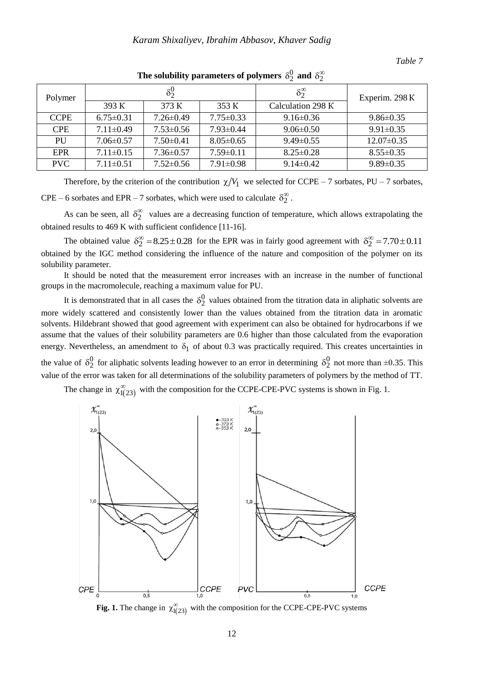### *Table 7*

| Polymer     |                 | $\delta_2^0$    |                 | $\delta_2^{\infty}$ | Experim. 298 K   |
|-------------|-----------------|-----------------|-----------------|---------------------|------------------|
|             | 393 K           | 373 K           | 353 K           | Calculation 298 K   |                  |
| <b>CCPE</b> | $6.75 \pm 0.31$ | $7.26 \pm 0.49$ | $7.75 \pm 0.33$ | $9.16 \pm 0.36$     | $9.86 \pm 0.35$  |
| <b>CPE</b>  | $7.11 \pm 0.49$ | $7.53 \pm 0.56$ | $7.93 \pm 0.44$ | $9.06 \pm 0.50$     | $9.91 \pm 0.35$  |
| PU          | $7.06 \pm 0.57$ | $7.50 \pm 0.41$ | $8.05 \pm 0.65$ | $9.49\pm0.55$       | $12.07 \pm 0.35$ |
| <b>EPR</b>  | $7.11 \pm 0.15$ | $7.36 \pm 0.57$ | $7.59 \pm 0.11$ | $8.25 \pm 0.28$     | $8.55 \pm 0.35$  |
| <b>PVC</b>  | $7.11 \pm 0.51$ | $7.52 \pm 0.56$ | $7.91 \pm 0.98$ | $9.14\pm0.42$       | $9.89 \pm 0.35$  |

The solubility parameters of polymers  $\delta_2^0$  and  $\delta_2^{\infty}$  $\delta_2^{\infty}$ 

Therefore, by the criterion of the contribution  $\chi/V_1$  we selected for CCPE – 7 sorbates, PU – 7 sorbates, CPE – 6 sorbates and EPR – 7 sorbates, which were used to calculate  $\delta_2^{\infty}$ .

As can be seen, all  $\delta_2^{\infty}$  values are a decreasing function of temperature, which allows extrapolating the obtained results to 469 K with sufficient confidence [11-16].

The obtained value  $\delta_2^{\infty} = 8.25 \pm 0.28$  for the EPR was in fairly good agreement with  $\delta_2^{\infty} = 7.70 \pm 0.11$ obtained by the IGC method considering the influence of the nature and composition of the polymer on its solubility parameter.

It should be noted that the measurement error increases with an increase in the number of functional groups in the macromolecule, reaching a maximum value for PU.

It is demonstrated that in all cases the  $\delta_2^0$  values obtained from the titration data in aliphatic solvents are more widely scattered and consistently lower than the values obtained from the titration data in aromatic solvents. Hildebrant showed that good agreement with experiment can also be obtained for hydrocarbons if we assume that the values of their solubility parameters are 0.6 higher than those calculated from the evaporation energy. Nevertheless, an amendment to  $\delta_1$  of about 0.3 was practically required. This creates uncertainties in the value of  $\delta_2^0$  for aliphatic solvents leading however to an error in determining  $\delta_2^0$  not more than  $\pm 0.35$ . This

value of the error was taken for all determinations of the solubility parameters of polymers by the method of TT.

The change in  $\chi_{1(23)}^{\infty}$  with the composition for the CCPE-CPE-PVC systems is shown in Fig. 1.



**Fig. 1.** The change in  $\chi^{\infty}_{1(23)}$  with the composition for the CCPE-CPE-PVC systems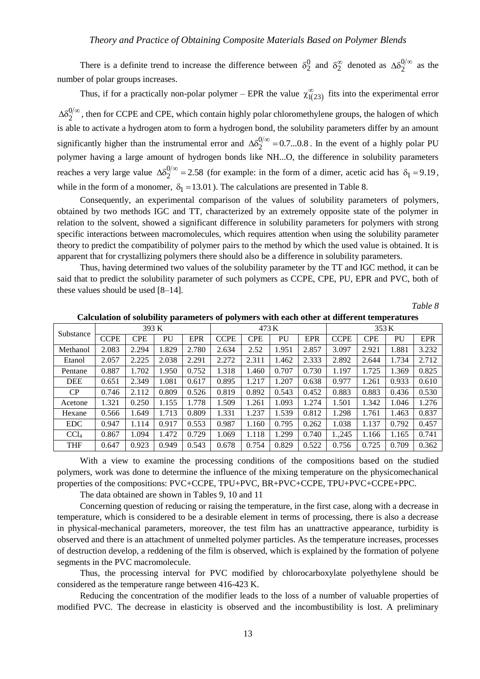There is a definite trend to increase the difference between  $\delta_2^0$  and  $\delta_2^{\infty}$  denoted as  $\Delta \delta_2^0$  $\Delta \delta_2^{\mathsf{U}/\infty}$  as the number of polar groups increases.

Thus, if for a practically non-polar polymer – EPR the value  $\chi_{1(23)}^{\infty}$  fits into the experimental error

0  $\Delta\delta_2^{\mathcal{O}/\infty}$ , then for CCPE and CPE, which contain highly polar chloromethylene groups, the halogen of which is able to activate a hydrogen atom to form a hydrogen bond, the solubility parameters differ by an amount significantly higher than the instrumental error and  $\Delta\delta_2^0$  $\Delta\delta_2^{0/2\infty}$  = 0.7...0.8. In the event of a highly polar PU polymer having a large amount of hydrogen bonds like NH...O, the difference in solubility parameters reaches a very large value  $\Delta\delta^0_2$  $\Delta \delta_2^{\prime\prime\prime\prime\prime} = 2.58$  (for example: in the form of a dimer, acetic acid has  $\delta_1 = 9.19$ , while in the form of a monomer,  $\delta_1 = 13.01$ ). The calculations are presented in Table 8.

Consequently, an experimental comparison of the values of solubility parameters of polymers, obtained by two methods IGC and TT, characterized by an extremely opposite state of the polymer in relation to the solvent, showed a significant difference in solubility parameters for polymers with strong specific interactions between macromolecules, which requires attention when using the solubility parameter theory to predict the compatibility of polymer pairs to the method by which the used value is obtained. It is apparent that for crystallizing polymers there should also be a difference in solubility parameters.

Thus, having determined two values of the solubility parameter by the TT and IGC method, it can be said that to predict the solubility parameter of such polymers as CCPE, CPE, PU, EPR and PVC, both of these values should be used [8–14].

*Table 8*

| Substance        | 393 K       |            |       |            | 473 K       |            |       | 353 K      |             |            |       |            |
|------------------|-------------|------------|-------|------------|-------------|------------|-------|------------|-------------|------------|-------|------------|
|                  | <b>CCPE</b> | <b>CPE</b> | PU    | <b>EPR</b> | <b>CCPE</b> | <b>CPE</b> | PU    | <b>EPR</b> | <b>CCPE</b> | <b>CPE</b> | PU    | <b>EPR</b> |
| Methanol         | 2.083       | 2.294      | .829  | 2.780      | 2.634       | 2.52       | 1.951 | 2.857      | 3.097       | 2.921      | 1.881 | 3.232      |
| Etanol           | 2.057       | 2.225      | 2.038 | 2.291      | 2.272       | 2.311      | 1.462 | 2.333      | 2.892       | 2.644      | 1.734 | 2.712      |
| Pentane          | 0.887       | l.702      | .950  | 0.752      | 1.318       | 1.460      | 0.707 | 0.730      | 1.197       | 1.725      | 1.369 | 0.825      |
| <b>DEE</b>       | 0.651       | 2.349      | .081  | 0.617      | 0.895       | 1.217      | 1.207 | 0.638      | 0.977       | 1.261      | 0.933 | 0.610      |
| CP               | 0.746       | 2.112      | 0.809 | 0.526      | 0.819       | 0.892      | 0.543 | 0.452      | 0.883       | 0.883      | 0.436 | 0.530      |
| Acetone          | 1.321       | 0.250      | 1.155 | 1.778      | 1.509       | 1.261      | 1.093 | 1.274      | 1.501       | 1.342      | 1.046 | 1.276      |
| Hexane           | 0.566       | 1.649      | 1.713 | 0.809      | 1.331       | 1.237      | 1.539 | 0.812      | 1.298       | 1.761      | 1.463 | 0.837      |
| <b>EDC</b>       | 0.947       | 1.114      | 0.917 | 0.553      | 0.987       | 1.160      | 0.795 | 0.262      | 1.038       | 1.137      | 0.792 | 0.457      |
| CCl <sub>4</sub> | 0.867       | 1.094      | .472  | 0.729      | 1.069       | 1.118      | 1.299 | 0.740      | 1.,245      | 1.166      | 1.165 | 0.741      |
| <b>THF</b>       | 0.647       | 0.923      | 0.949 | 0.543      | 0.678       | 0.754      | 0.829 | 0.522      | 0.756       | 0.725      | 0.709 | 0.362      |

**Calculation of solubility parameters of polymers with each other at different temperatures**

With a view to examine the processing conditions of the compositions based on the studied polymers, work was done to determine the influence of the mixing temperature on the physicomechanical properties of the compositions: PVC+CCPE, TPU+PVC, BR+PVC+CCPE, TPU+PVC+CCPE+PPC.

The data obtained are shown in Tables 9, 10 and 11

Concerning question of reducing or raising the temperature, in the first case, along with a decrease in temperature, which is considered to be a desirable element in terms of processing, there is also a decrease in physical-mechanical parameters, moreover, the test film has an unattractive appearance, turbidity is observed and there is an attachment of unmelted polymer particles. As the temperature increases, processes of destruction develop, a reddening of the film is observed, which is explained by the formation of polyene segments in the PVC macromolecule.

Thus, the processing interval for PVC modified by chlorocarboxylate polyethylene should be considered as the temperature range between 416-423 K.

Reducing the concentration of the modifier leads to the loss of a number of valuable properties of modified PVC. The decrease in elasticity is observed and the incombustibility is lost. A preliminary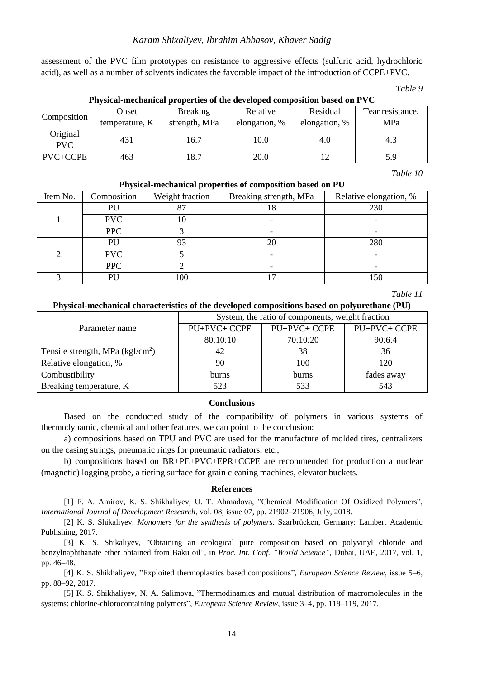## *Karam Shixaliyev, Ibrahim Abbasov, Khaver Sadig*

assessment of the PVC film prototypes on resistance to aggressive effects (sulfuric acid, hydrochloric acid), as well as a number of solvents indicates the favorable impact of the introduction of CCPE+PVC.

*Table 9*

| Composition            | Onset<br>temperature, K | <b>Breaking</b><br>strength, MPa | Relative<br>elongation, % | Residual<br>elongation, % | Tear resistance,<br>MPa |
|------------------------|-------------------------|----------------------------------|---------------------------|---------------------------|-------------------------|
| Original<br><b>PVC</b> | 431                     | 16.7                             | 10.0                      | 4.0                       | 4.3                     |
| PVC+CCPE               | 463                     | 18.7                             | 20.0                      |                           | 5.9                     |

## **Physical-mechanical properties of the developed composition based on PVC**

*Table 10*

| Item No. | Composition | Weight fraction | Breaking strength, MPa | Relative elongation, % |
|----------|-------------|-----------------|------------------------|------------------------|
|          | PU          |                 | 10                     | 230                    |
| ı.       | <b>PVC</b>  | 10              |                        |                        |
|          | <b>PPC</b>  |                 |                        |                        |
|          | PU          | 93              | 20                     | 280                    |
| 2.       | <b>PVC</b>  |                 |                        |                        |
|          | <b>PPC</b>  |                 |                        |                        |
|          | PU          | 100             |                        | 150                    |

## **Physical-mechanical properties of composition based on PU**

*Table 11*

## **Physical-mechanical characteristics of the developed compositions based on polyurethane (PU)**

|                                   | System, the ratio of components, weight fraction |              |              |  |  |
|-----------------------------------|--------------------------------------------------|--------------|--------------|--|--|
| Parameter name                    | PU+PVC+ CCPE                                     | PU+PVC+ CCPE | PU+PVC+ CCPE |  |  |
|                                   | 80:10:10                                         | 70:10:20     | 90:6:4       |  |  |
| Tensile strength, MPa $(kgf/cm2)$ |                                                  | 38           | 36           |  |  |
| Relative elongation, %            | 90                                               | 100          | 120          |  |  |
| Combustibility                    | <b>burns</b>                                     | <b>burns</b> | fades away   |  |  |
| Breaking temperature, K           | 523                                              | 533          | 543          |  |  |

## **Conclusions**

Based on the conducted study of the compatibility of polymers in various systems of thermodynamic, chemical and other features, we can point to the conclusion:

a) compositions based on TPU and PVC are used for the manufacture of molded tires, centralizers on the casing strings, pneumatic rings for pneumatic radiators, etc.;

b) compositions based on BR+PE+PVC+EPR+CCPE are recommended for production a nuclear (magnetic) logging probe, a tiering surface for grain cleaning machines, elevator buckets.

#### **References**

[1] F. A. Amirov, K. S. Shikhaliyev, U. T. Ahmadova, "Chemical Modification Of Oxidized Polymers", *International Journal of Development Research*, vol. 08, issue 07, pp. 21902–21906, July, 2018.

[2] K. S. Shikaliyev, *Monomers for the synthesis of polymers*. Saarbrücken, Germany: Lambert Academic Publishing, 2017.

[3] K. S. Shikaliyev, "Obtaining an ecological pure composition based on polyvinyl chloride and benzylnaphthanate ether obtained from Baku oil", in *Proc. Int. Conf. "World Science"*, Dubai, UAE, 2017, vol. 1, pp. 46–48.

[4] K. S. Shikhaliyev, "Exploited thermoplastics based compositions", *European Science Review*, issue 5–6, pp. 88–92, 2017.

[5] K. S. Shikhaliyev, N. A. Salimova, "Thermodinamics and mutual distribution of macromolecules in the systems: chlorine-chlorocontaining polymers", *European Science Review*, issue 3–4, pp. 118–119, 2017.